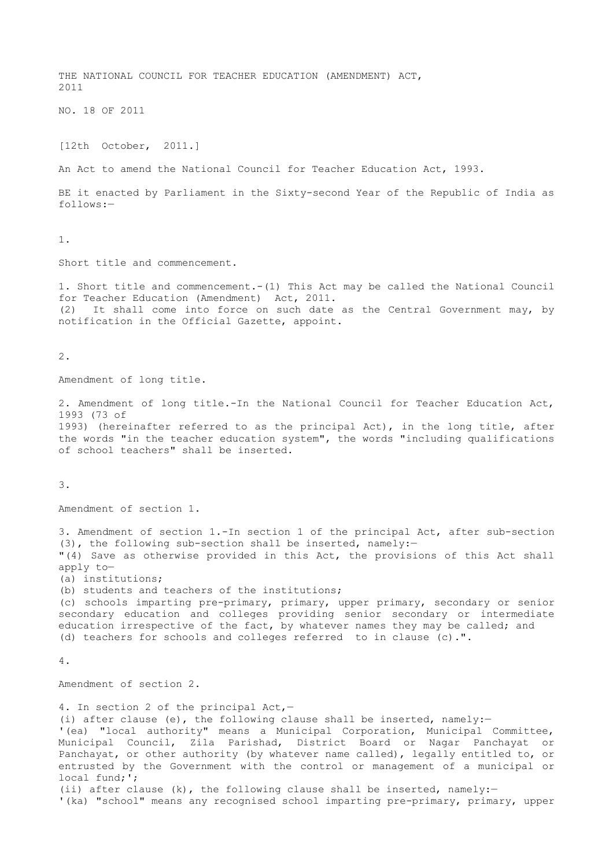THE NATIONAL COUNCIL FOR TEACHER EDUCATION (AMENDMENT) ACT, 2011 NO. 18 OF 2011 [12th October, 2011.] An Act to amend the National Council for Teacher Education Act, 1993. BE it enacted by Parliament in the Sixty-second Year of the Republic of India as follows:— 1. Short title and commencement. 1. Short title and commencement.-(1) This Act may be called the National Council for Teacher Education (Amendment) Act, 2011. (2) It shall come into force on such date as the Central Government may, by notification in the Official Gazette, appoint.

2.

Amendment of long title.

2. Amendment of long title.-In the National Council for Teacher Education Act, 1993 (73 of 1993) (hereinafter referred to as the principal Act), in the long title, after the words "in the teacher education system", the words "including qualifications of school teachers" shall be inserted.

3.

Amendment of section 1.

3. Amendment of section 1.-In section 1 of the principal Act, after sub-section (3), the following sub-section shall be inserted, namely:— "(4) Save as otherwise provided in this Act, the provisions of this Act shall apply to—

(a) institutions;

(b) students and teachers of the institutions;

(c) schools imparting pre-primary, primary, upper primary, secondary or senior secondary education and colleges providing senior secondary or intermediate education irrespective of the fact, by whatever names they may be called; and (d) teachers for schools and colleges referred to in clause (c).".

4.

Amendment of section 2.

4. In section 2 of the principal Act,— (i) after clause (e), the following clause shall be inserted, namely:— '(ea) "local authority" means a Municipal Corporation, Municipal Committee, Municipal Council, Zila Parishad, District Board or Nagar Panchayat or Panchayat, or other authority (by whatever name called), legally entitled to, or entrusted by the Government with the control or management of a municipal or local fund;'; (ii) after clause (k), the following clause shall be inserted, namely:— '(ka) "school" means any recognised school imparting pre-primary, primary, upper